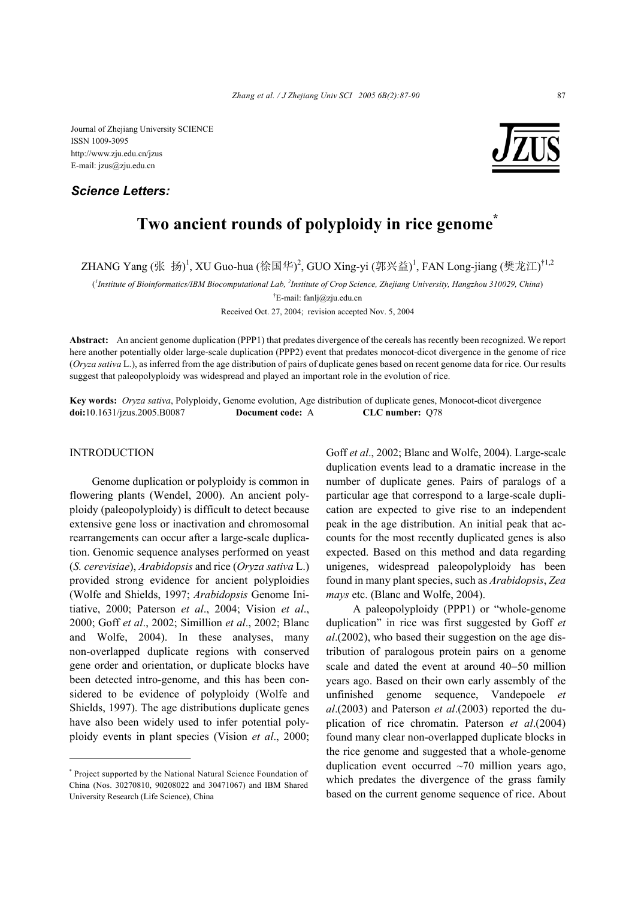## *Science Letters:*



# **Two ancient rounds of polyploidy in rice genome\***

ZHANG Yang (张 扬)<sup>1</sup>, XU Guo-hua (徐国华)<sup>2</sup>, GUO Xing-yi (郭兴益)<sup>1</sup>, FAN Long-jiang (樊龙江)<sup>†1,2</sup>

( *1 Institute of Bioinformatics/IBM Biocomputational Lab, <sup>2</sup> Institute of Crop Science, Zhejiang University, Hangzhou 310029, China*)

† E-mail: fanlj@zju.edu.cn

Received Oct. 27, 2004; revision accepted Nov. 5, 2004

**Abstract:** An ancient genome duplication (PPP1) that predates divergence of the cereals has recently been recognized. We report here another potentially older large-scale duplication (PPP2) event that predates monocot-dicot divergence in the genome of rice (*Oryza sativa* L.), as inferred from the age distribution of pairs of duplicate genes based on recent genome data for rice. Our results suggest that paleopolyploidy was widespread and played an important role in the evolution of rice.

**Key words:** *Oryza sativa*, Polyploidy, Genome evolution, Age distribution of duplicate genes, Monocot-dicot divergence **doi:**10.1631/jzus.2005.B0087 **Document code:** A **CLC number:** Q78

### **INTRODUCTION**

Genome duplication or polyploidy is common in flowering plants (Wendel, 2000). An ancient polyploidy (paleopolyploidy) is difficult to detect because extensive gene loss or inactivation and chromosomal rearrangements can occur after a large-scale duplication. Genomic sequence analyses performed on yeast (*S. cerevisiae*), *Arabidopsis* and rice (*Oryza sativa* L.) provided strong evidence for ancient polyploidies (Wolfe and Shields, 1997; *Arabidopsis* Genome Initiative, 2000; Paterson *et al*., 2004; Vision *et al*., 2000; Goff *et al*., 2002; Simillion *et al*., 2002; Blanc and Wolfe, 2004). In these analyses, many non-overlapped duplicate regions with conserved gene order and orientation, or duplicate blocks have been detected intro-genome, and this has been considered to be evidence of polyploidy (Wolfe and Shields, 1997). The age distributions duplicate genes have also been widely used to infer potential polyploidy events in plant species (Vision *et al*., 2000;

Goff *et al*., 2002; Blanc and Wolfe, 2004). Large-scale duplication events lead to a dramatic increase in the number of duplicate genes. Pairs of paralogs of a particular age that correspond to a large-scale duplication are expected to give rise to an independent peak in the age distribution. An initial peak that accounts for the most recently duplicated genes is also expected. Based on this method and data regarding unigenes, widespread paleopolyploidy has been found in many plant species, such as *Arabidopsis*, *Zea mays* etc. (Blanc and Wolfe, 2004).

A paleopolyploidy (PPP1) or "whole-genome duplication" in rice was first suggested by Goff *et al*.(2002), who based their suggestion on the age distribution of paralogous protein pairs on a genome scale and dated the event at around 40−50 million years ago. Based on their own early assembly of the unfinished genome sequence, Vandepoele *et al*.(2003) and Paterson *et al*.(2003) reported the duplication of rice chromatin. Paterson *et al*.(2004) found many clear non-overlapped duplicate blocks in the rice genome and suggested that a whole-genome duplication event occurred  $\sim$ 70 million years ago, which predates the divergence of the grass family based on the current genome sequence of rice. About

<sup>\*</sup> Project supported by the National Natural Science Foundation of China (Nos. 30270810, 90208022 and 30471067) and IBM Shared University Research (Life Science), China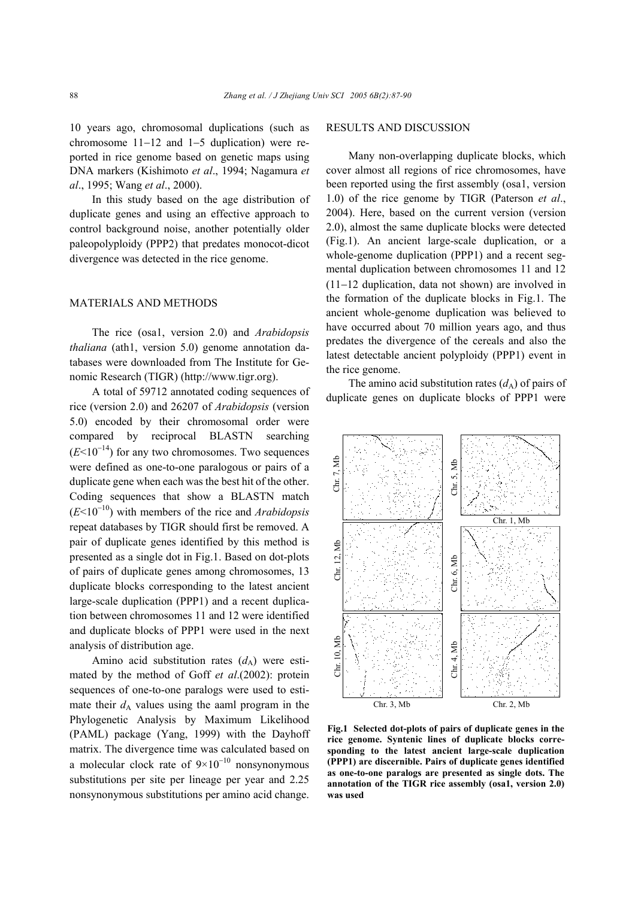10 years ago, chromosomal duplications (such as chromosome 11−12 and 1−5 duplication) were reported in rice genome based on genetic maps using DNA markers (Kishimoto *et al*., 1994; Nagamura *et al*., 1995; Wang *et al*., 2000).

In this study based on the age distribution of duplicate genes and using an effective approach to control background noise, another potentially older paleopolyploidy (PPP2) that predates monocot-dicot divergence was detected in the rice genome.

#### MATERIALS AND METHODS

The rice (osa1, version 2.0) and *Arabidopsis thaliana* (ath1, version 5.0) genome annotation databases were downloaded from The Institute for Genomic Research (TIGR) (http://www.tigr.org).

A total of 59712 annotated coding sequences of rice (version 2.0) and 26207 of *Arabidopsis* (version 5.0) encoded by their chromosomal order were compared by reciprocal BLASTN searching  $(E<10^{-14})$  for any two chromosomes. Two sequences were defined as one-to-one paralogous or pairs of a duplicate gene when each was the best hit of the other. Coding sequences that show a BLASTN match (*E*<10<sup>−</sup>10) with members of the rice and *Arabidopsis* repeat databases by TIGR should first be removed. A pair of duplicate genes identified by this method is presented as a single dot in Fig.1. Based on dot-plots of pairs of duplicate genes among chromosomes, 13 duplicate blocks corresponding to the latest ancient large-scale duplication (PPP1) and a recent duplication between chromosomes 11 and 12 were identified and duplicate blocks of PPP1 were used in the next analysis of distribution age.

Amino acid substitution rates  $(d_A)$  were estimated by the method of Goff *et al*.(2002): protein sequences of one-to-one paralogs were used to estimate their  $d_A$  values using the aaml program in the Phylogenetic Analysis by Maximum Likelihood (PAML) package (Yang, 1999) with the Dayhoff matrix. The divergence time was calculated based on a molecular clock rate of  $9 \times 10^{-10}$  nonsynonymous substitutions per site per lineage per year and 2.25 nonsynonymous substitutions per amino acid change.

#### RESULTS AND DISCUSSION

Many non-overlapping duplicate blocks, which cover almost all regions of rice chromosomes, have been reported using the first assembly (osa1, version 1.0) of the rice genome by TIGR (Paterson *et al*., 2004). Here, based on the current version (version 2.0), almost the same duplicate blocks were detected (Fig.1). An ancient large-scale duplication, or a whole-genome duplication (PPP1) and a recent segmental duplication between chromosomes 11 and 12 (11−12 duplication, data not shown) are involved in the formation of the duplicate blocks in Fig.1. The ancient whole-genome duplication was believed to have occurred about 70 million years ago, and thus predates the divergence of the cereals and also the latest detectable ancient polyploidy (PPP1) event in the rice genome.

The amino acid substitution rates  $(d_A)$  of pairs of duplicate genes on duplicate blocks of PPP1 were



**Fig.1 Selected dot-plots of pairs of duplicate genes in the rice genome. Syntenic lines of duplicate blocks corresponding to the latest ancient large-scale duplication (PPP1) are discernible. Pairs of duplicate genes identified as one-to-one paralogs are presented as single dots. The annotation of the TIGR rice assembly (osa1, version 2.0)** was used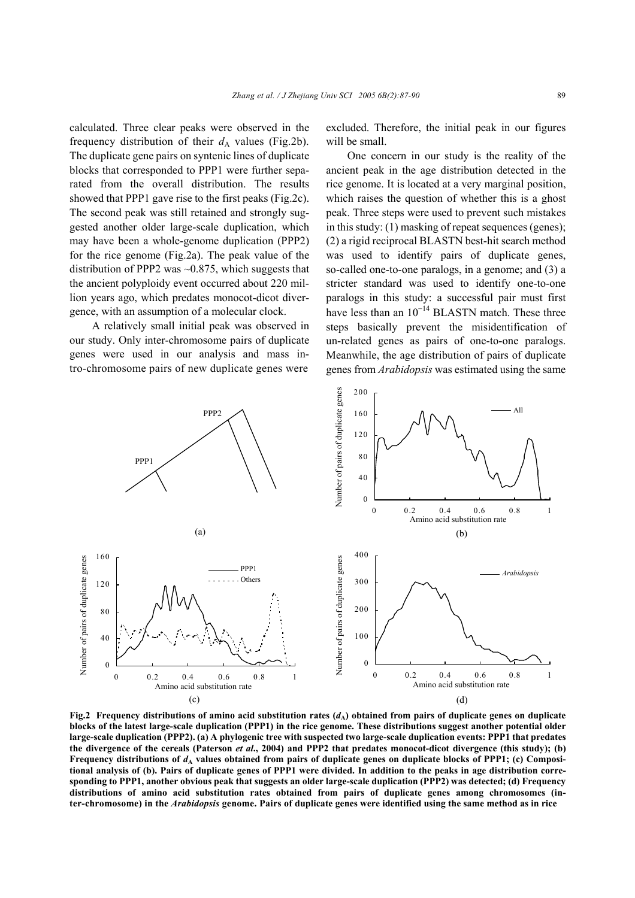calculated. Three clear peaks were observed in the frequency distribution of their  $d_A$  values (Fig.2b). The duplicate gene pairs on syntenic lines of duplicate blocks that corresponded to PPP1 were further separated from the overall distribution. The results showed that PPP1 gave rise to the first peaks (Fig.2c). The second peak was still retained and strongly suggested another older large-scale duplication, which may have been a whole-genome duplication (PPP2) for the rice genome (Fig.2a). The peak value of the distribution of PPP2 was  $\sim 0.875$ , which suggests that the ancient polyploidy event occurred about 220 million years ago, which predates monocot-dicot divergence, with an assumption of a molecular clock.

A relatively small initial peak was observed in our study. Only inter-chromosome pairs of duplicate genes were used in our analysis and mass intro-chromosome pairs of new duplicate genes were

excluded. Therefore, the initial peak in our figures will be small.

One concern in our study is the reality of the ancient peak in the age distribution detected in the rice genome. It is located at a very marginal position, which raises the question of whether this is a ghost peak. Three steps were used to prevent such mistakes in this study: (1) masking of repeat sequences (genes); (2) a rigid reciprocal BLASTN best-hit search method was used to identify pairs of duplicate genes, so-called one-to-one paralogs, in a genome; and (3) a stricter standard was used to identify one-to-one paralogs in this study: a successful pair must first have less than an  $10^{-14}$  BLASTN match. These three steps basically prevent the misidentification of un-related genes as pairs of one-to-one paralogs. Meanwhile, the age distribution of pairs of duplicate genes from *Arabidopsis* was estimated using the same



Fig.2 Frequency distributions of amino acid substitution rates  $(d_A)$  obtained from pairs of duplicate genes on duplicate **blocks of the latest large-scale duplication (PPP1) in the rice genome. These distributions suggest another potential older large-scale duplication (PPP2). (a) A phylogenic tree with suspected two large-scale duplication events: PPP1 that predates the divergence of the cereals (Paterson** *et al***., 2004) and PPP2 that predates monocot-dicot divergence (this study); (b)** Frequency distributions of  $d_A$  values obtained from pairs of duplicate genes on duplicate blocks of PPP1; (c) Composi**tional analysis of (b). Pairs of duplicate genes of PPP1 were divided. In addition to the peaks in age distribution corresponding to PPP1, another obvious peak that suggests an older large-scale duplication (PPP2) was detected; (d) Frequency distributions of amino acid substitution rates obtained from pairs of duplicate genes among chromosomes (inter-chromosome) in the** *Arabidopsis* **genome. Pairs of duplicate genes were identified using the same method as in rice**